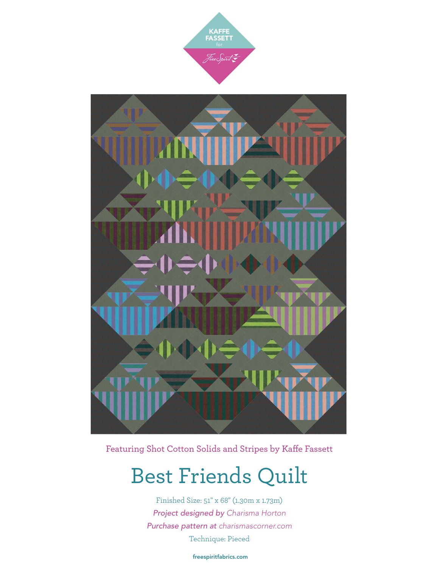



Featuring Shot Cotton Solids and Stripes by Kaffe Fassett

## Best Friends Quilt

Finished Size: 51" x 68" (1.30m x 1.73m) *Project designed by Charisma Horton Purchase pattern at [charismascorner.com](http://charismascorner.com)* Technique: Pieced

[freespiritfabrics.com](http://www.freespiritfabric.com)